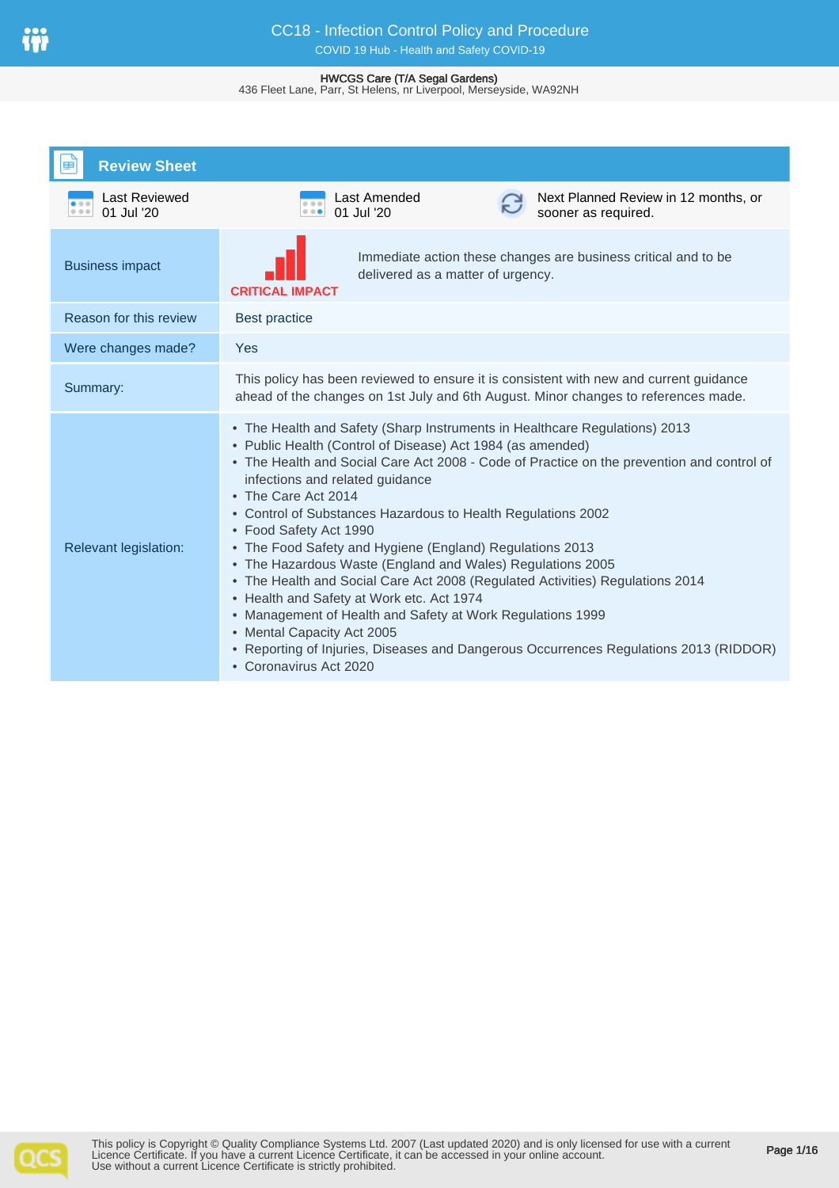# CC18 - Infection Control Policy and Procedure COVID 19 Hub - Health and Safety COVID-19

#### HWCGS Care (T/A Segal Gardens)

436 Fleet Lane, Parr, St Helens, nr Liverpool, Merseyside, WA92NH

| <b>Review Sheet</b>                 |                                                                                                                                                                                                                                                                                                                                                                                                                                                                                                                                                                                                                                                                                                                                                                                                                                                                  |  |  |
|-------------------------------------|------------------------------------------------------------------------------------------------------------------------------------------------------------------------------------------------------------------------------------------------------------------------------------------------------------------------------------------------------------------------------------------------------------------------------------------------------------------------------------------------------------------------------------------------------------------------------------------------------------------------------------------------------------------------------------------------------------------------------------------------------------------------------------------------------------------------------------------------------------------|--|--|
| Last Reviewed<br>01 Jul '20<br>0.00 | Last Amended<br>Next Planned Review in 12 months, or<br>01 Jul '20<br>sooner as required.<br>$\cdots$                                                                                                                                                                                                                                                                                                                                                                                                                                                                                                                                                                                                                                                                                                                                                            |  |  |
| <b>Business impact</b>              | Immediate action these changes are business critical and to be<br>delivered as a matter of urgency.<br><b>CRITICAL IMPACT</b>                                                                                                                                                                                                                                                                                                                                                                                                                                                                                                                                                                                                                                                                                                                                    |  |  |
| Reason for this review              | <b>Best practice</b>                                                                                                                                                                                                                                                                                                                                                                                                                                                                                                                                                                                                                                                                                                                                                                                                                                             |  |  |
| Were changes made?                  | Yes                                                                                                                                                                                                                                                                                                                                                                                                                                                                                                                                                                                                                                                                                                                                                                                                                                                              |  |  |
| Summary:                            | This policy has been reviewed to ensure it is consistent with new and current guidance<br>ahead of the changes on 1st July and 6th August. Minor changes to references made.                                                                                                                                                                                                                                                                                                                                                                                                                                                                                                                                                                                                                                                                                     |  |  |
| <b>Relevant legislation:</b>        | • The Health and Safety (Sharp Instruments in Healthcare Regulations) 2013<br>• Public Health (Control of Disease) Act 1984 (as amended)<br>• The Health and Social Care Act 2008 - Code of Practice on the prevention and control of<br>infections and related guidance<br>• The Care Act 2014<br>• Control of Substances Hazardous to Health Regulations 2002<br>• Food Safety Act 1990<br>• The Food Safety and Hygiene (England) Regulations 2013<br>• The Hazardous Waste (England and Wales) Regulations 2005<br>• The Health and Social Care Act 2008 (Regulated Activities) Regulations 2014<br>• Health and Safety at Work etc. Act 1974<br>• Management of Health and Safety at Work Regulations 1999<br>• Mental Capacity Act 2005<br>• Reporting of Injuries, Diseases and Dangerous Occurrences Regulations 2013 (RIDDOR)<br>• Coronavirus Act 2020 |  |  |

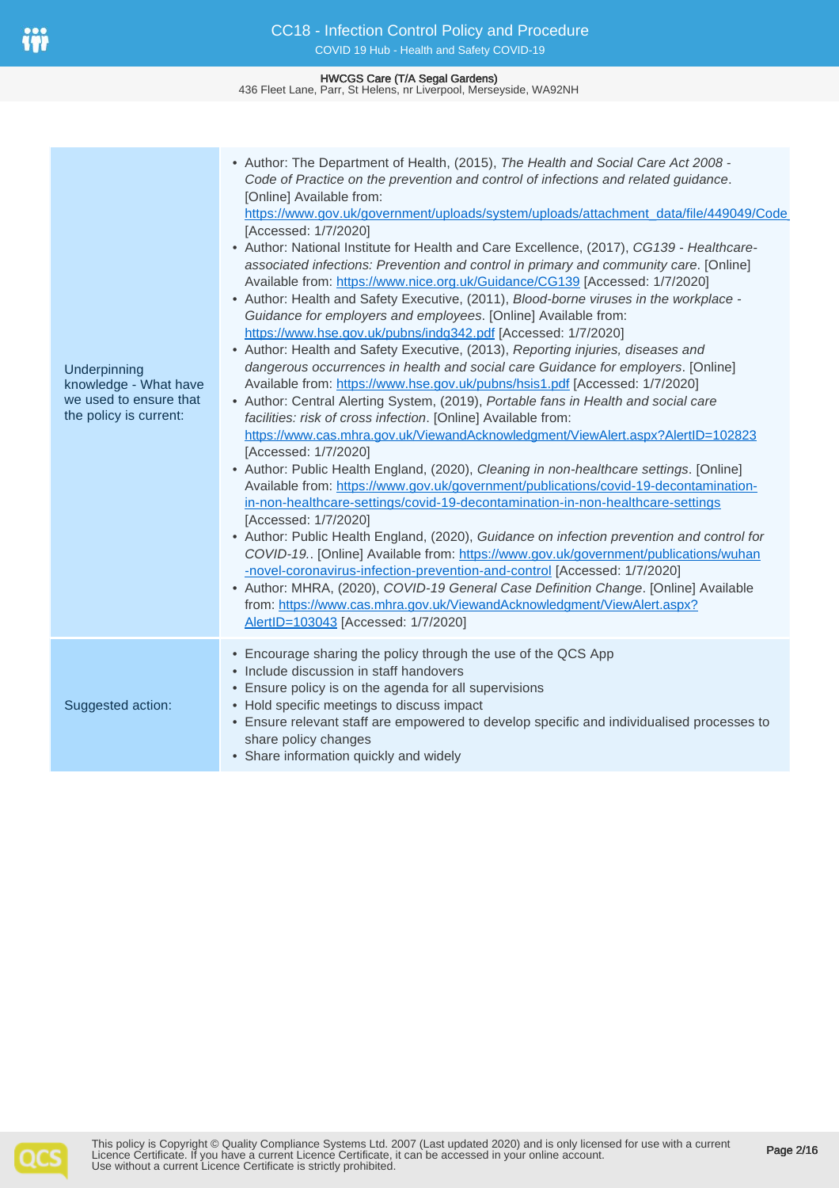**Underpinning** 

knowledge - What have we used to ensure that the policy is current:

Suggested action:

| CC18 - Infection Control Policy and Procedure<br>COVID 19 Hub - Health and Safety COVID-19                                                                                                                                                                                                                                                                                                                                                                                                                                                                                                                                                                                                                                                                                                                           |  |
|----------------------------------------------------------------------------------------------------------------------------------------------------------------------------------------------------------------------------------------------------------------------------------------------------------------------------------------------------------------------------------------------------------------------------------------------------------------------------------------------------------------------------------------------------------------------------------------------------------------------------------------------------------------------------------------------------------------------------------------------------------------------------------------------------------------------|--|
| <b>HWCGS Care (T/A Segal Gardens)</b><br>436 Fleet Lane, Parr, St Helens, nr Liverpool, Merseyside, WA92NH                                                                                                                                                                                                                                                                                                                                                                                                                                                                                                                                                                                                                                                                                                           |  |
|                                                                                                                                                                                                                                                                                                                                                                                                                                                                                                                                                                                                                                                                                                                                                                                                                      |  |
| • Author: The Department of Health, (2015), The Health and Social Care Act 2008 -<br>Code of Practice on the prevention and control of infections and related guidance.<br>[Online] Available from:<br>https://www.gov.uk/government/uploads/system/uploads/attachment_data/file/449049/Code<br>[Accessed: 1/7/2020]<br>• Author: National Institute for Health and Care Excellence, (2017), CG139 - Healthcare-<br>associated infections: Prevention and control in primary and community care. [Online]<br>Available from: https://www.nice.org.uk/Guidance/CG139 [Accessed: 1/7/2020]<br>• Author: Health and Safety Executive, (2011), Blood-borne viruses in the workplace -<br>Guidance for employers and employees. [Online] Available from:<br>https://www.hse.gov.uk/pubns/indg342.pdf [Accessed: 1/7/2020] |  |

• Author: Health and Safety Executive, (2013), Reporting injuries, diseases and dangerous occurrences in health and social care Guidance for employers. [Online] Available from: <https://www.hse.gov.uk/pubns/hsis1.pdf>[Accessed: 1/7/2020]

- Author: Central Alerting System, (2019), Portable fans in Health and social care facilities: risk of cross infection. [Online] Available from: <https://www.cas.mhra.gov.uk/ViewandAcknowledgment/ViewAlert.aspx?AlertID=102823> [Accessed: 1/7/2020]
- Author: Public Health England, (2020), Cleaning in non-healthcare settings. [Online] Available from: [https://www.gov.uk/government/publications/covid-19-decontamination](https://www.gov.uk/government/publications/covid-19-decontamination-in-non-healthcare-settings/covid-19-decontamination-in-non-healthcare-settings)[in-non-healthcare-settings/covid-19-decontamination-in-non-healthcare-settings](https://www.gov.uk/government/publications/covid-19-decontamination-in-non-healthcare-settings/covid-19-decontamination-in-non-healthcare-settings) [Accessed: 1/7/2020]
- Author: Public Health England, (2020), Guidance on infection prevention and control for COVID-19.. [Online] Available from: [https://www.gov.uk/government/publications/wuhan](https://www.gov.uk/government/publications/wuhan-novel-coronavirus-infection-prevention-and-control) [-novel-coronavirus-infection-prevention-and-control](https://www.gov.uk/government/publications/wuhan-novel-coronavirus-infection-prevention-and-control) [Accessed: 1/7/2020]
- Author: MHRA, (2020), COVID-19 General Case Definition Change. [Online] Available from: [https://www.cas.mhra.gov.uk/ViewandAcknowledgment/ViewAlert.aspx?](https://www.cas.mhra.gov.uk/ViewandAcknowledgment/ViewAlert.aspx?AlertID=103043) [AlertID=103043](https://www.cas.mhra.gov.uk/ViewandAcknowledgment/ViewAlert.aspx?AlertID=103043) [Accessed: 1/7/2020]
- Encourage sharing the policy through the use of the QCS App
- Include discussion in staff handovers
- Ensure policy is on the agenda for all supervisions
- Hold specific meetings to discuss impact
- Ensure relevant staff are empowered to develop specific and individualised processes to share policy changes
- Share information quickly and widely

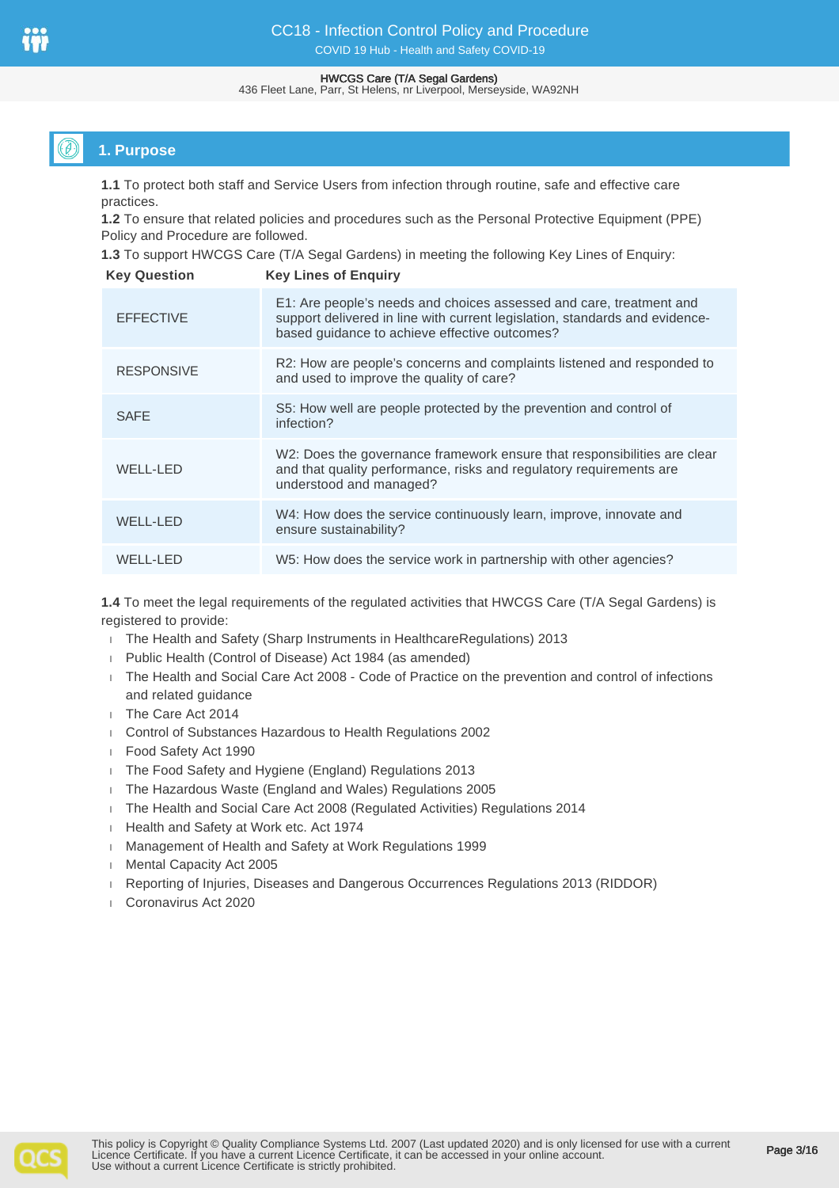436 Fleet Lane, Parr, St Helens, nr Liverpool, Merseyside, WA92NH

# **1. Purpose**

**1.1** To protect both staff and Service Users from infection through routine, safe and effective care practices.

**1.2** To ensure that related policies and procedures such as the Personal Protective Equipment (PPE) Policy and Procedure are followed.

**1.3** To support HWCGS Care (T/A Segal Gardens) in meeting the following Key Lines of Enquiry:

| <b>Key Question</b> | <b>Key Lines of Enquiry</b>                                                                                                                                                                         |
|---------------------|-----------------------------------------------------------------------------------------------------------------------------------------------------------------------------------------------------|
| <b>EFFECTIVE</b>    | E1: Are people's needs and choices assessed and care, treatment and<br>support delivered in line with current legislation, standards and evidence-<br>based guidance to achieve effective outcomes? |
| <b>RESPONSIVE</b>   | R2: How are people's concerns and complaints listened and responded to<br>and used to improve the quality of care?                                                                                  |
| <b>SAFE</b>         | S5: How well are people protected by the prevention and control of<br>infection?                                                                                                                    |
| <b>WELL-LED</b>     | W2: Does the governance framework ensure that responsibilities are clear<br>and that quality performance, risks and regulatory requirements are<br>understood and managed?                          |
| <b>WELL-LED</b>     | W4: How does the service continuously learn, improve, innovate and<br>ensure sustainability?                                                                                                        |
| WELL-LED            | W5: How does the service work in partnership with other agencies?                                                                                                                                   |

**1.4** To meet the legal requirements of the regulated activities that HWCGS Care (T/A Segal Gardens) is registered to provide:

- The Health and Safety (Sharp Instruments in HealthcareRegulations) 2013
- Public Health (Control of Disease) Act 1984 (as amended)
- The Health and Social Care Act 2008 Code of Practice on the prevention and control of infections and related guidance
- The Care Act 2014
- Control of Substances Hazardous to Health Regulations 2002
- Food Safety Act 1990
- The Food Safety and Hygiene (England) Regulations 2013
- The Hazardous Waste (England and Wales) Regulations 2005
- The Health and Social Care Act 2008 (Regulated Activities) Regulations 2014
- Health and Safety at Work etc. Act 1974
- Management of Health and Safety at Work Regulations 1999
- **Mental Capacity Act 2005**
- Reporting of Injuries, Diseases and Dangerous Occurrences Regulations 2013 (RIDDOR)
- Coronavirus Act 2020

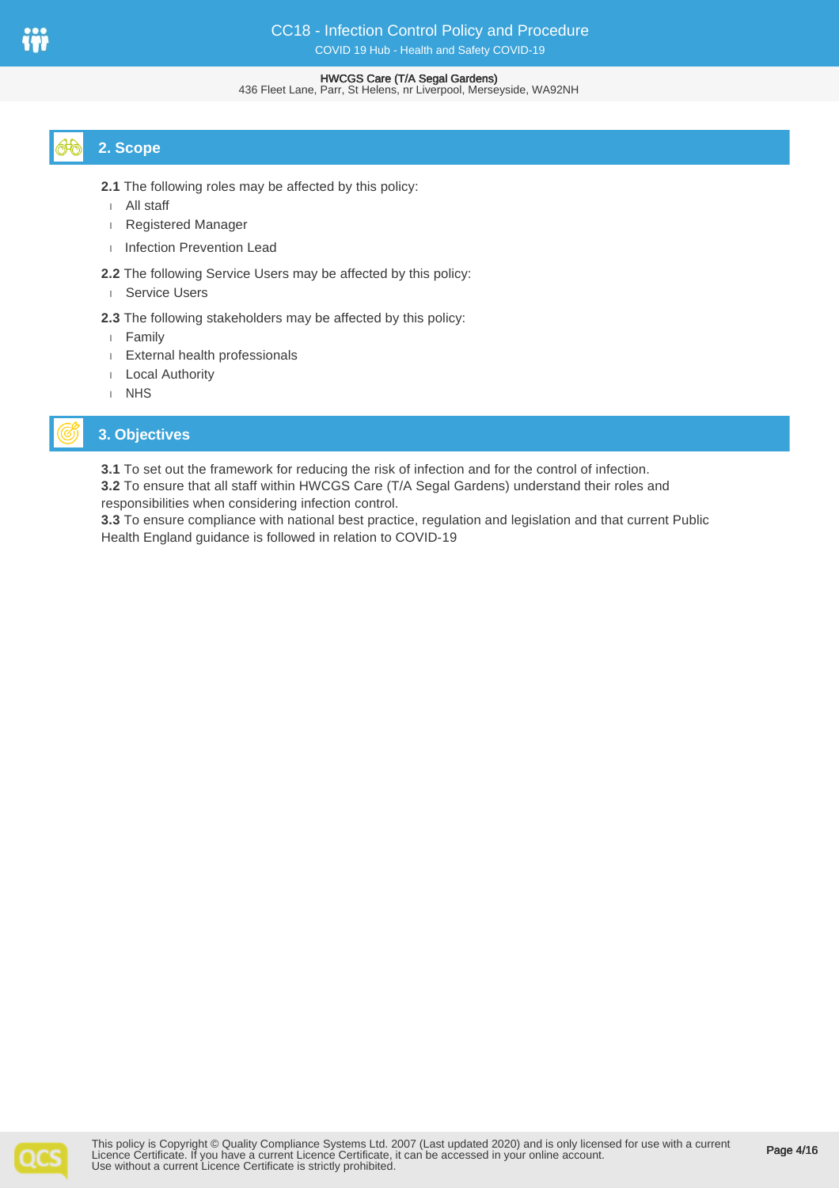#### 436 Fleet Lane, Parr, St Helens, nr Liverpool, Merseyside, WA92NH

# **2. Scope**

- **2.1** The following roles may be affected by this policy:
- All staff
- Registered Manager
- Infection Prevention Lead
- **2.2** The following Service Users may be affected by this policy: Service Users
- **2.3** The following stakeholders may be affected by this policy:
- Family
- External health professionals
- Local Authority
- I NHS

# **3. Objectives**

**3.1** To set out the framework for reducing the risk of infection and for the control of infection.

**3.2** To ensure that all staff within HWCGS Care (T/A Segal Gardens) understand their roles and responsibilities when considering infection control.

**3.3** To ensure compliance with national best practice, regulation and legislation and that current Public Health England guidance is followed in relation to COVID-19

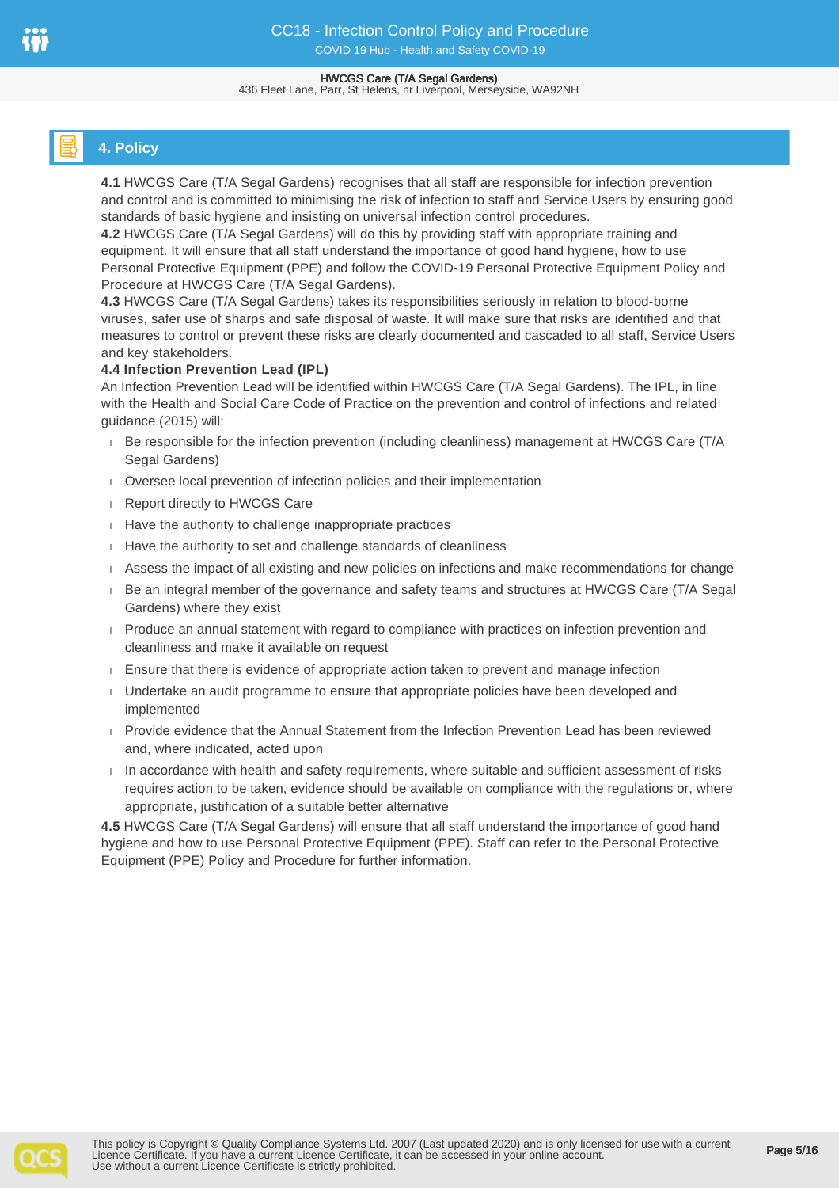#### HWCGS Care (T/A Segal Gardens) 436 Fleet Lane, Parr, St Helens, nr Liverpool, Merseyside, WA92NH

# **4. Policy**

**4.1** HWCGS Care (T/A Segal Gardens) recognises that all staff are responsible for infection prevention and control and is committed to minimising the risk of infection to staff and Service Users by ensuring good standards of basic hygiene and insisting on universal infection control procedures.

**4.2** HWCGS Care (T/A Segal Gardens) will do this by providing staff with appropriate training and equipment. It will ensure that all staff understand the importance of good hand hygiene, how to use Personal Protective Equipment (PPE) and follow the COVID-19 Personal Protective Equipment Policy and Procedure at HWCGS Care (T/A Segal Gardens).

**4.3** HWCGS Care (T/A Segal Gardens) takes its responsibilities seriously in relation to blood-borne viruses, safer use of sharps and safe disposal of waste. It will make sure that risks are identified and that measures to control or prevent these risks are clearly documented and cascaded to all staff, Service Users and key stakeholders.

## **4.4 Infection Prevention Lead (IPL)**

An Infection Prevention Lead will be identified within HWCGS Care (T/A Segal Gardens). The IPL, in line with the Health and Social Care Code of Practice on the prevention and control of infections and related guidance (2015) will:

- Be responsible for the infection prevention (including cleanliness) management at HWCGS Care (T/A Segal Gardens)
- Oversee local prevention of infection policies and their implementation
- **Report directly to HWCGS Care**
- $H$  Have the authority to challenge inappropriate practices
- Have the authority to set and challenge standards of cleanliness
- Assess the impact of all existing and new policies on infections and make recommendations for change
- Be an integral member of the governance and safety teams and structures at HWCGS Care (T/A Segal Gardens) where they exist
- **Produce an annual statement with regard to compliance with practices on infection prevention and** cleanliness and make it available on request
- **Ensure that there is evidence of appropriate action taken to prevent and manage infection**
- Undertake an audit programme to ensure that appropriate policies have been developed and implemented
- Provide evidence that the Annual Statement from the Infection Prevention Lead has been reviewed and, where indicated, acted upon
- $\Box$  In accordance with health and safety requirements, where suitable and sufficient assessment of risks requires action to be taken, evidence should be available on compliance with the regulations or, where appropriate, justification of a suitable better alternative

**4.5** HWCGS Care (T/A Segal Gardens) will ensure that all staff understand the importance of good hand hygiene and how to use Personal Protective Equipment (PPE). Staff can refer to the Personal Protective Equipment (PPE) Policy and Procedure for further information.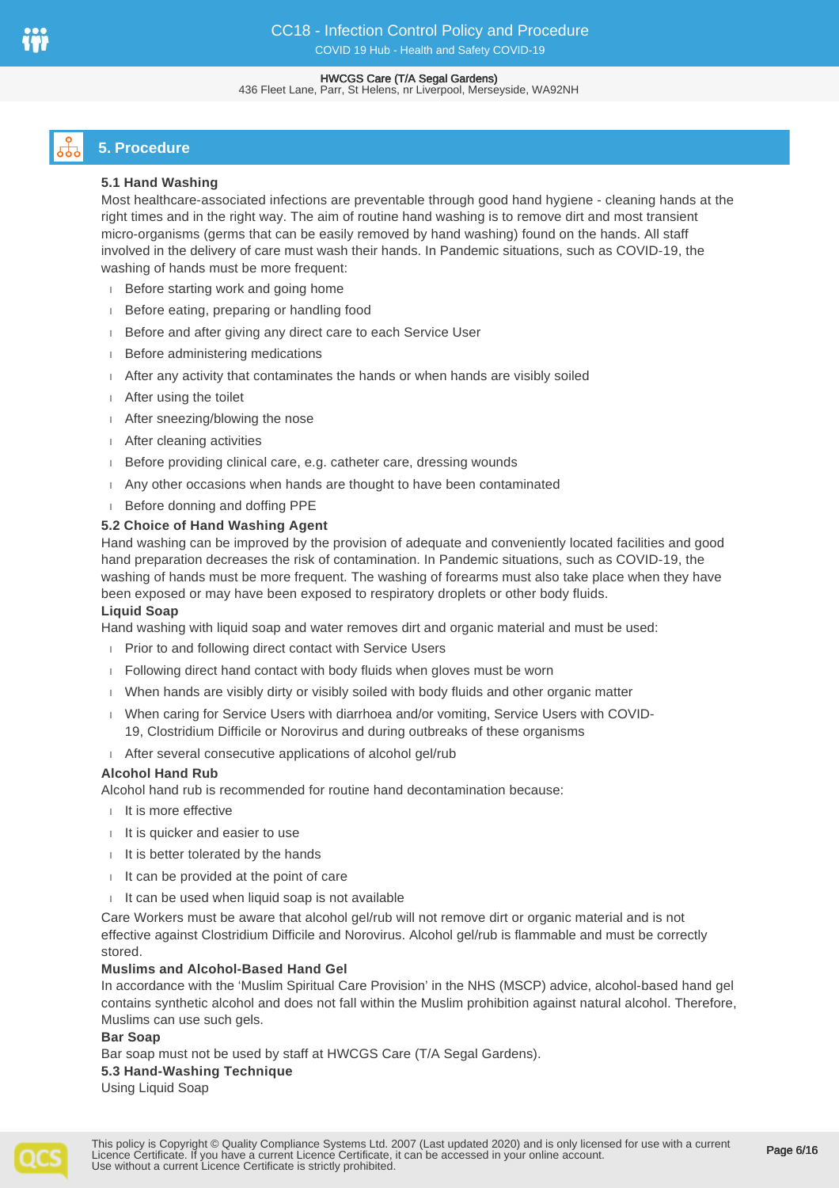#### HWCGS Care (T/A Segal Gardens) 436 Fleet Lane, Parr, St Helens, nr Liverpool, Merseyside, WA92NH

# **5. Procedure**

## **5.1 Hand Washing**

Most healthcare-associated infections are preventable through good hand hygiene - cleaning hands at the right times and in the right way. The aim of routine hand washing is to remove dirt and most transient micro-organisms (germs that can be easily removed by hand washing) found on the hands. All staff involved in the delivery of care must wash their hands. In Pandemic situations, such as COVID-19, the washing of hands must be more frequent:

- Before starting work and going home
- Before eating, preparing or handling food
- Before and after giving any direct care to each Service User
- **Before administering medications**
- After any activity that contaminates the hands or when hands are visibly soiled
- After using the toilet
- After sneezing/blowing the nose
- After cleaning activities
- Before providing clinical care, e.g. catheter care, dressing wounds
- Any other occasions when hands are thought to have been contaminated
- Before donning and doffing PPE

## **5.2 Choice of Hand Washing Agent**

Hand washing can be improved by the provision of adequate and conveniently located facilities and good hand preparation decreases the risk of contamination. In Pandemic situations, such as COVID-19, the washing of hands must be more frequent. The washing of forearms must also take place when they have been exposed or may have been exposed to respiratory droplets or other body fluids.

#### **Liquid Soap**

Hand washing with liquid soap and water removes dirt and organic material and must be used:

- **Prior to and following direct contact with Service Users**
- Following direct hand contact with body fluids when gloves must be worn
- When hands are visibly dirty or visibly soiled with body fluids and other organic matter
- When caring for Service Users with diarrhoea and/or vomiting, Service Users with COVID-19, Clostridium Difficile or Norovirus and during outbreaks of these organisms
- After several consecutive applications of alcohol gel/rub

#### **Alcohol Hand Rub**

Alcohol hand rub is recommended for routine hand decontamination because:

- It is more effective
- $I$  It is quicker and easier to use
- $II$  is better tolerated by the hands
- $II$  It can be provided at the point of care
- $I$  It can be used when liquid soap is not available

Care Workers must be aware that alcohol gel/rub will not remove dirt or organic material and is not effective against Clostridium Difficile and Norovirus. Alcohol gel/rub is flammable and must be correctly stored.

#### **Muslims and Alcohol-Based Hand Gel**

In accordance with the 'Muslim Spiritual Care Provision' in the NHS (MSCP) advice, alcohol-based hand gel contains synthetic alcohol and does not fall within the Muslim prohibition against natural alcohol. Therefore, Muslims can use such gels.

#### **Bar Soap**

Bar soap must not be used by staff at HWCGS Care (T/A Segal Gardens).

#### **5.3 Hand-Washing Technique**

Using Liquid Soap

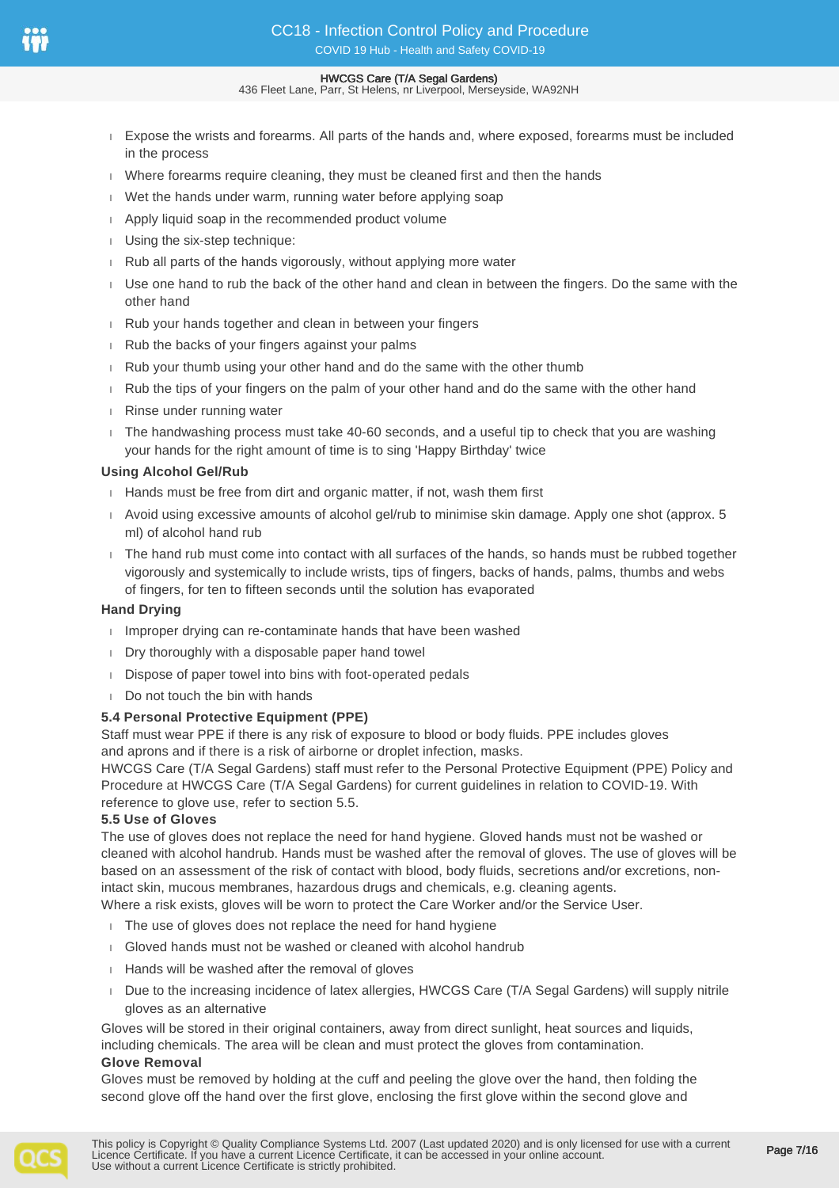- 436 Fleet Lane, Parr, St Helens, nr Liverpool, Merseyside, WA92NH
- Expose the wrists and forearms. All parts of the hands and, where exposed, forearms must be included in the process
- Where forearms require cleaning, they must be cleaned first and then the hands
- Wet the hands under warm, running water before applying soap
- Apply liquid soap in the recommended product volume
- Using the six-step technique:
- $\parallel$  Rub all parts of the hands vigorously, without applying more water
- Use one hand to rub the back of the other hand and clean in between the fingers. Do the same with the other hand
- Rub your hands together and clean in between your fingers
- Rub the backs of your fingers against your palms
- Rub your thumb using your other hand and do the same with the other thumb
- Rub the tips of your fingers on the palm of your other hand and do the same with the other hand
- Rinse under running water
- The handwashing process must take 40-60 seconds, and a useful tip to check that you are washing your hands for the right amount of time is to sing 'Happy Birthday' twice

## **Using Alcohol Gel/Rub**

- Hands must be free from dirt and organic matter, if not, wash them first
- Avoid using excessive amounts of alcohol gel/rub to minimise skin damage. Apply one shot (approx. 5 ml) of alcohol hand rub
- The hand rub must come into contact with all surfaces of the hands, so hands must be rubbed together vigorously and systemically to include wrists, tips of fingers, backs of hands, palms, thumbs and webs of fingers, for ten to fifteen seconds until the solution has evaporated

#### **Hand Drying**

- I Improper drying can re-contaminate hands that have been washed
- Dry thoroughly with a disposable paper hand towel
- Dispose of paper towel into bins with foot-operated pedals
- Do not touch the bin with hands

## **5.4 Personal Protective Equipment (PPE)**

Staff must wear PPE if there is any risk of exposure to blood or body fluids. PPE includes gloves and aprons and if there is a risk of airborne or droplet infection, masks.

HWCGS Care (T/A Segal Gardens) staff must refer to the Personal Protective Equipment (PPE) Policy and Procedure at HWCGS Care (T/A Segal Gardens) for current guidelines in relation to COVID-19. With reference to glove use, refer to section 5.5.

#### **5.5 Use of Gloves**

The use of gloves does not replace the need for hand hygiene. Gloved hands must not be washed or cleaned with alcohol handrub. Hands must be washed after the removal of gloves. The use of gloves will be based on an assessment of the risk of contact with blood, body fluids, secretions and/or excretions, nonintact skin, mucous membranes, hazardous drugs and chemicals, e.g. cleaning agents.

Where a risk exists, gloves will be worn to protect the Care Worker and/or the Service User.

- $\overline{1}$ . The use of gloves does not replace the need for hand hygiene
- Gloved hands must not be washed or cleaned with alcohol handrub
- Hands will be washed after the removal of gloves
- Due to the increasing incidence of latex allergies, HWCGS Care (T/A Segal Gardens) will supply nitrile gloves as an alternative

Gloves will be stored in their original containers, away from direct sunlight, heat sources and liquids, including chemicals. The area will be clean and must protect the gloves from contamination. **Glove Removal**

Gloves must be removed by holding at the cuff and peeling the glove over the hand, then folding the second glove off the hand over the first glove, enclosing the first glove within the second glove and

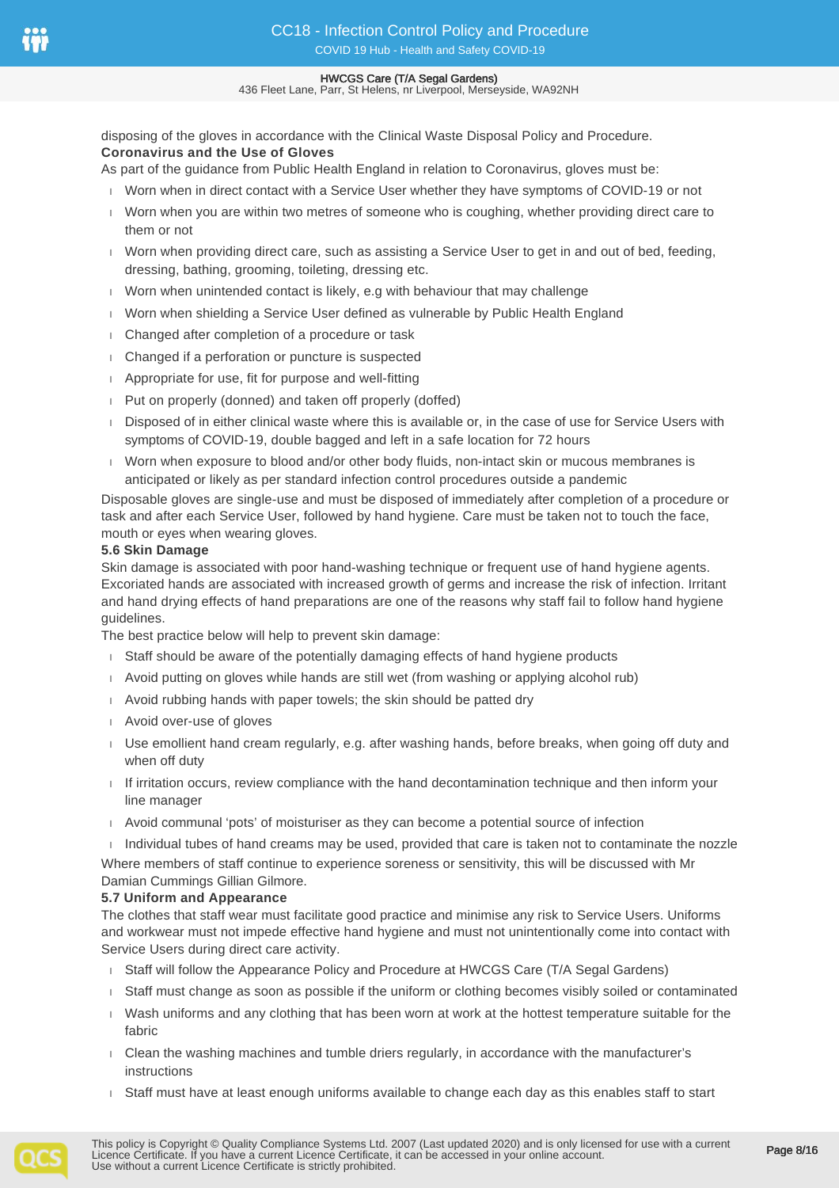436 Fleet Lane, Parr, St Helens, nr Liverpool, Merseyside, WA92NH

disposing of the gloves in accordance with the Clinical Waste Disposal Policy and Procedure. **Coronavirus and the Use of Gloves**

As part of the guidance from Public Health England in relation to Coronavirus, gloves must be:

- Worn when in direct contact with a Service User whether they have symptoms of COVID-19 or not
- Worn when you are within two metres of someone who is coughing, whether providing direct care to them or not
- Worn when providing direct care, such as assisting a Service User to get in and out of bed, feeding, dressing, bathing, grooming, toileting, dressing etc.
- Worn when unintended contact is likely, e.g with behaviour that may challenge
- Worn when shielding a Service User defined as vulnerable by Public Health England
- Changed after completion of a procedure or task
- Changed if a perforation or puncture is suspected
- Appropriate for use, fit for purpose and well-fitting
- Put on properly (donned) and taken off properly (doffed)
- Disposed of in either clinical waste where this is available or, in the case of use for Service Users with symptoms of COVID-19, double bagged and left in a safe location for 72 hours
- Worn when exposure to blood and/or other body fluids, non-intact skin or mucous membranes is anticipated or likely as per standard infection control procedures outside a pandemic

Disposable gloves are single-use and must be disposed of immediately after completion of a procedure or task and after each Service User, followed by hand hygiene. Care must be taken not to touch the face, mouth or eyes when wearing gloves.

#### **5.6 Skin Damage**

Skin damage is associated with poor hand-washing technique or frequent use of hand hygiene agents. Excoriated hands are associated with increased growth of germs and increase the risk of infection. Irritant and hand drying effects of hand preparations are one of the reasons why staff fail to follow hand hygiene guidelines.

The best practice below will help to prevent skin damage:

- Staff should be aware of the potentially damaging effects of hand hygiene products
- Avoid putting on gloves while hands are still wet (from washing or applying alcohol rub)
- Avoid rubbing hands with paper towels; the skin should be patted dry
- Avoid over-use of gloves
- Use emollient hand cream regularly, e.g. after washing hands, before breaks, when going off duty and when off duty
- If irritation occurs, review compliance with the hand decontamination technique and then inform your line manager
- Avoid communal 'pots' of moisturiser as they can become a potential source of infection
- $\Box$  Individual tubes of hand creams may be used, provided that care is taken not to contaminate the nozzle

Where members of staff continue to experience soreness or sensitivity, this will be discussed with Mr Damian Cummings Gillian Gilmore.

#### **5.7 Uniform and Appearance**

The clothes that staff wear must facilitate good practice and minimise any risk to Service Users. Uniforms and workwear must not impede effective hand hygiene and must not unintentionally come into contact with Service Users during direct care activity.

- Staff will follow the Appearance Policy and Procedure at HWCGS Care (T/A Segal Gardens)
- Staff must change as soon as possible if the uniform or clothing becomes visibly soiled or contaminated
- Wash uniforms and any clothing that has been worn at work at the hottest temperature suitable for the fabric
- Clean the washing machines and tumble driers regularly, in accordance with the manufacturer's instructions
- Staff must have at least enough uniforms available to change each day as this enables staff to start

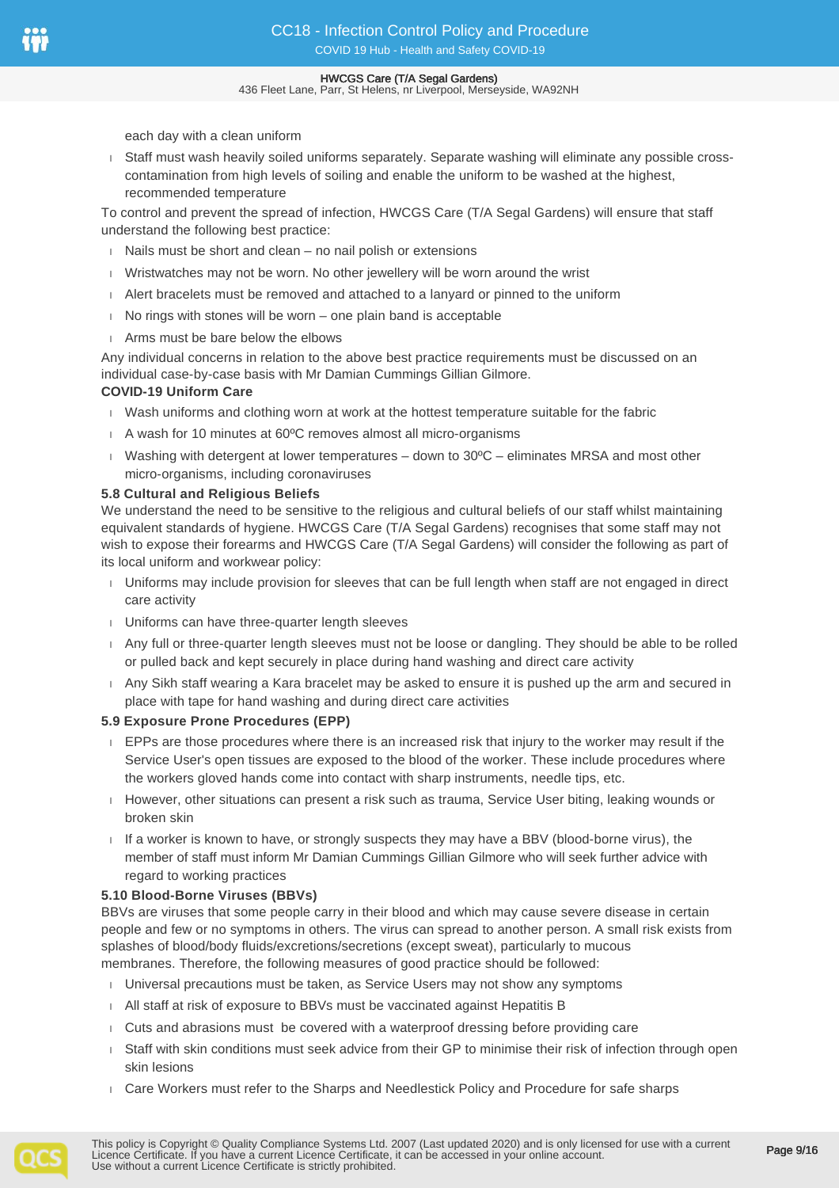436 Fleet Lane, Parr, St Helens, nr Liverpool, Merseyside, WA92NH

each day with a clean uniform

 Staff must wash heavily soiled uniforms separately. Separate washing will eliminate any possible crosscontamination from high levels of soiling and enable the uniform to be washed at the highest, recommended temperature

To control and prevent the spread of infection, HWCGS Care (T/A Segal Gardens) will ensure that staff understand the following best practice:

- $\overline{a}$  Nails must be short and clean no nail polish or extensions
- Wristwatches may not be worn. No other jewellery will be worn around the wrist
- Alert bracelets must be removed and attached to a lanyard or pinned to the uniform
- $\blacksquare$  No rings with stones will be worn one plain band is acceptable
- Arms must be bare below the elbows

Any individual concerns in relation to the above best practice requirements must be discussed on an individual case-by-case basis with Mr Damian Cummings Gillian Gilmore.

#### **COVID-19 Uniform Care**

- Wash uniforms and clothing worn at work at the hottest temperature suitable for the fabric
- A wash for 10 minutes at 60°C removes almost all micro-organisms
- Washing with detergent at lower temperatures down to  $30^{\circ}$ C eliminates MRSA and most other micro-organisms, including coronaviruses

#### **5.8 Cultural and Religious Beliefs**

We understand the need to be sensitive to the religious and cultural beliefs of our staff whilst maintaining equivalent standards of hygiene. HWCGS Care (T/A Segal Gardens) recognises that some staff may not wish to expose their forearms and HWCGS Care (T/A Segal Gardens) will consider the following as part of its local uniform and workwear policy:

- Uniforms may include provision for sleeves that can be full length when staff are not engaged in direct care activity
- Uniforms can have three-quarter length sleeves
- Any full or three-quarter length sleeves must not be loose or dangling. They should be able to be rolled or pulled back and kept securely in place during hand washing and direct care activity
- Any Sikh staff wearing a Kara bracelet may be asked to ensure it is pushed up the arm and secured in place with tape for hand washing and during direct care activities

#### **5.9 Exposure Prone Procedures (EPP)**

- EPPs are those procedures where there is an increased risk that injury to the worker may result if the Service User's open tissues are exposed to the blood of the worker. These include procedures where the workers gloved hands come into contact with sharp instruments, needle tips, etc.
- However, other situations can present a risk such as trauma, Service User biting, leaking wounds or broken skin
- If a worker is known to have, or strongly suspects they may have a BBV (blood-borne virus), the member of staff must inform Mr Damian Cummings Gillian Gilmore who will seek further advice with regard to working practices

#### **5.10 Blood-Borne Viruses (BBVs)**

BBVs are viruses that some people carry in their blood and which may cause severe disease in certain people and few or no symptoms in others. The virus can spread to another person. A small risk exists from splashes of blood/body fluids/excretions/secretions (except sweat), particularly to mucous membranes. Therefore, the following measures of good practice should be followed:

- Universal precautions must be taken, as Service Users may not show any symptoms
- All staff at risk of exposure to BBVs must be vaccinated against Hepatitis B
- Cuts and abrasions must be covered with a waterproof dressing before providing care
- Staff with skin conditions must seek advice from their GP to minimise their risk of infection through open skin lesions
- Care Workers must refer to the Sharps and Needlestick Policy and Procedure for safe sharps

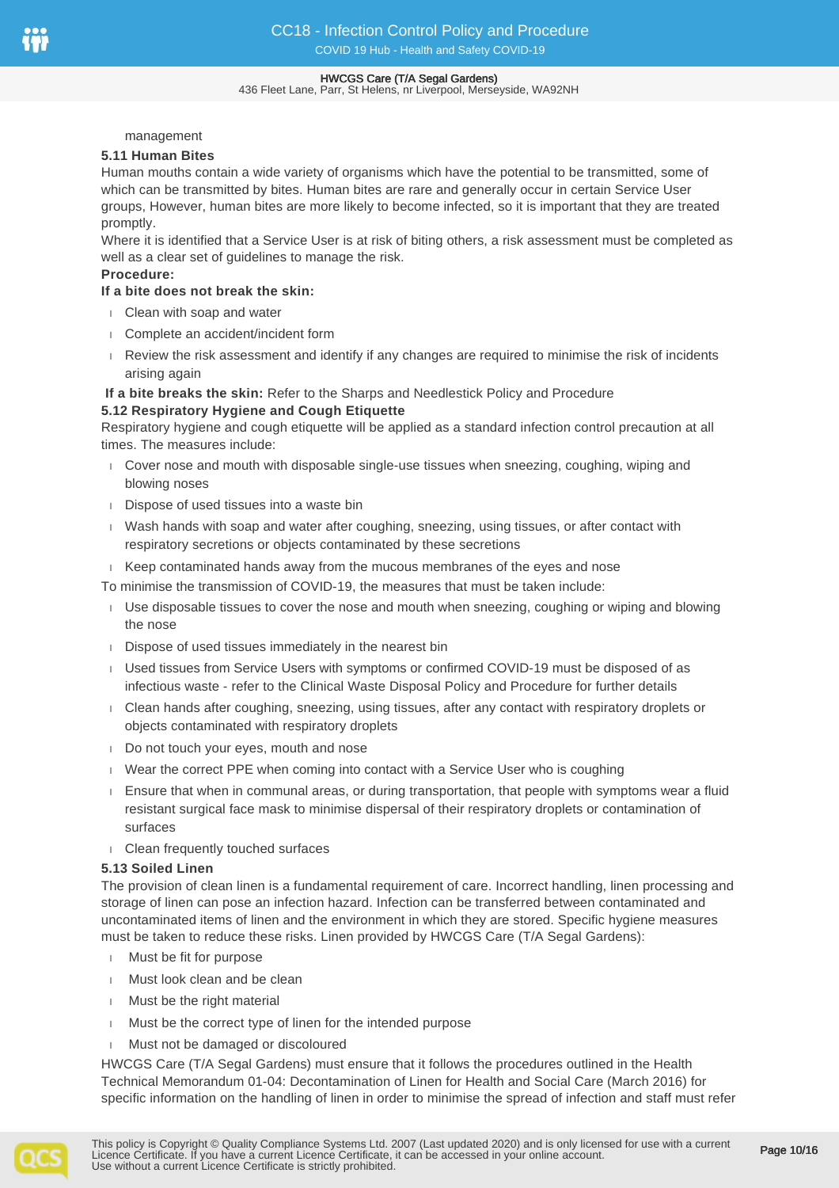#### 436 Fleet Lane, Parr, St Helens, nr Liverpool, Merseyside, WA92NH

#### management

#### **5.11 Human Bites**

Human mouths contain a wide variety of organisms which have the potential to be transmitted, some of which can be transmitted by bites. Human bites are rare and generally occur in certain Service User groups, However, human bites are more likely to become infected, so it is important that they are treated promptly.

Where it is identified that a Service User is at risk of biting others, a risk assessment must be completed as well as a clear set of guidelines to manage the risk.

## **Procedure:**

## **If a bite does not break the skin:**

- Clean with soap and water
- Complete an accident/incident form
- Review the risk assessment and identify if any changes are required to minimise the risk of incidents arising again

#### **If a bite breaks the skin:** Refer to the Sharps and Needlestick Policy and Procedure **5.12 Respiratory Hygiene and Cough Etiquette**

Respiratory hygiene and cough etiquette will be applied as a standard infection control precaution at all times. The measures include:

- Cover nose and mouth with disposable single-use tissues when sneezing, coughing, wiping and blowing noses
- Dispose of used tissues into a waste bin
- Wash hands with soap and water after coughing, sneezing, using tissues, or after contact with respiratory secretions or objects contaminated by these secretions
- $\overline{K}$  Keep contaminated hands away from the mucous membranes of the eyes and nose
- To minimise the transmission of COVID-19, the measures that must be taken include:
- Use disposable tissues to cover the nose and mouth when sneezing, coughing or wiping and blowing the nose
- Dispose of used tissues immediately in the nearest bin
- Used tissues from Service Users with symptoms or confirmed COVID-19 must be disposed of as infectious waste - refer to the Clinical Waste Disposal Policy and Procedure for further details
- Clean hands after coughing, sneezing, using tissues, after any contact with respiratory droplets or objects contaminated with respiratory droplets
- Do not touch your eyes, mouth and nose
- Wear the correct PPE when coming into contact with a Service User who is coughing
- Ensure that when in communal areas, or during transportation, that people with symptoms wear a fluid resistant surgical face mask to minimise dispersal of their respiratory droplets or contamination of surfaces
- Clean frequently touched surfaces

## **5.13 Soiled Linen**

The provision of clean linen is a fundamental requirement of care. Incorrect handling, linen processing and storage of linen can pose an infection hazard. Infection can be transferred between contaminated and uncontaminated items of linen and the environment in which they are stored. Specific hygiene measures must be taken to reduce these risks. Linen provided by HWCGS Care (T/A Segal Gardens):

- Must be fit for purpose
- **Must look clean and be clean**
- Must be the right material
- Must be the correct type of linen for the intended purpose
- Must not be damaged or discoloured

HWCGS Care (T/A Segal Gardens) must ensure that it follows the procedures outlined in the Health Technical Memorandum 01-04: Decontamination of Linen for Health and Social Care (March 2016) for specific information on the handling of linen in order to minimise the spread of infection and staff must refer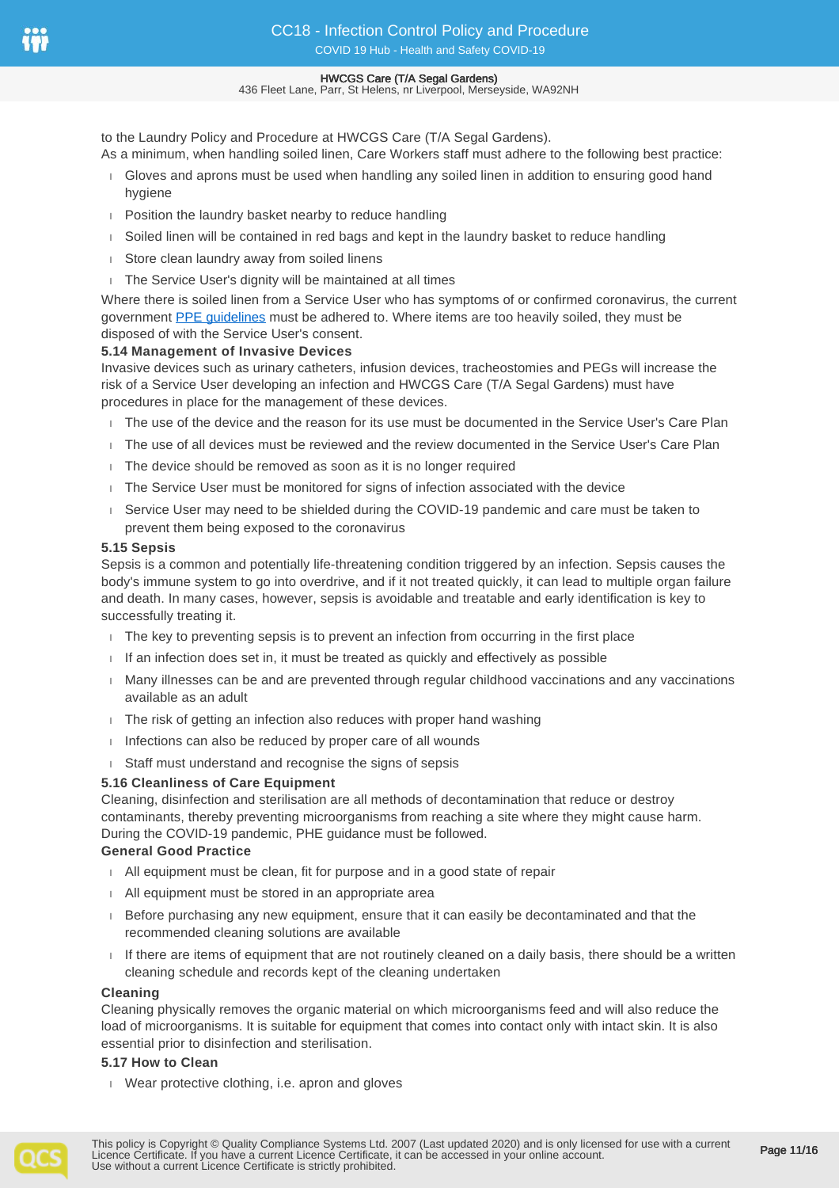436 Fleet Lane, Parr, St Helens, nr Liverpool, Merseyside, WA92NH

to the Laundry Policy and Procedure at HWCGS Care (T/A Segal Gardens). As a minimum, when handling soiled linen, Care Workers staff must adhere to the following best practice:

- Gloves and aprons must be used when handling any soiled linen in addition to ensuring good hand hygiene
- **Position the laundry basket nearby to reduce handling**
- Soiled linen will be contained in red bags and kept in the laundry basket to reduce handling
- store clean laundry away from soiled linens
- The Service User's dignity will be maintained at all times

Where there is soiled linen from a Service User who has symptoms of or confirmed coronavirus, the current government [PPE guidelines](https://www.gov.uk/government/publications/wuhan-novel-coronavirus-infection-prevention-and-control/covid-19-personal-protective-equipment-ppe) must be adhered to. Where items are too heavily soiled, they must be disposed of with the Service User's consent.

## **5.14 Management of Invasive Devices**

Invasive devices such as urinary catheters, infusion devices, tracheostomies and PEGs will increase the risk of a Service User developing an infection and HWCGS Care (T/A Segal Gardens) must have procedures in place for the management of these devices.

- The use of the device and the reason for its use must be documented in the Service User's Care Plan
- The use of all devices must be reviewed and the review documented in the Service User's Care Plan
- The device should be removed as soon as it is no longer required
- The Service User must be monitored for signs of infection associated with the device
- Service User may need to be shielded during the COVID-19 pandemic and care must be taken to prevent them being exposed to the coronavirus

#### **5.15 Sepsis**

Sepsis is a common and potentially life-threatening condition triggered by an infection. Sepsis causes the body's immune system to go into overdrive, and if it not treated quickly, it can lead to multiple organ failure and death. In many cases, however, sepsis is avoidable and treatable and early identification is key to successfully treating it.

- $\Box$  The key to preventing sepsis is to prevent an infection from occurring in the first place
- $\parallel$  If an infection does set in, it must be treated as quickly and effectively as possible
- Many illnesses can be and are prevented through regular childhood vaccinations and any vaccinations available as an adult
- The risk of getting an infection also reduces with proper hand washing
- $\Box$  Infections can also be reduced by proper care of all wounds
- Staff must understand and recognise the signs of sepsis

#### **5.16 Cleanliness of Care Equipment**

Cleaning, disinfection and sterilisation are all methods of decontamination that reduce or destroy contaminants, thereby preventing microorganisms from reaching a site where they might cause harm. During the COVID-19 pandemic, PHE guidance must be followed.

#### **General Good Practice**

- All equipment must be clean, fit for purpose and in a good state of repair
- All equipment must be stored in an appropriate area
- $B$  Before purchasing any new equipment, ensure that it can easily be decontaminated and that the recommended cleaning solutions are available
- If there are items of equipment that are not routinely cleaned on a daily basis, there should be a written cleaning schedule and records kept of the cleaning undertaken

#### **Cleaning**

Cleaning physically removes the organic material on which microorganisms feed and will also reduce the load of microorganisms. It is suitable for equipment that comes into contact only with intact skin. It is also essential prior to disinfection and sterilisation.

#### **5.17 How to Clean**

Wear protective clothing, i.e. apron and gloves

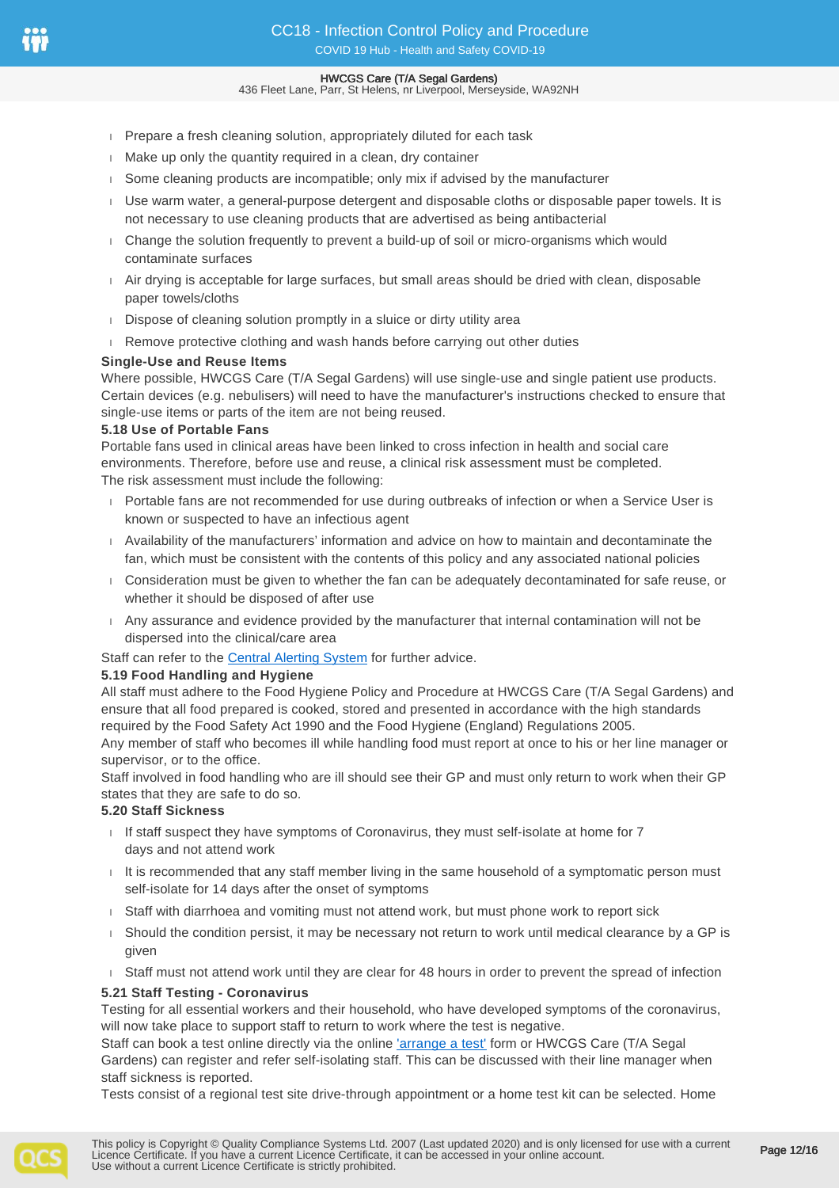- **Prepare a fresh cleaning solution, appropriately diluted for each task**
- Make up only the quantity required in a clean, dry container
- Some cleaning products are incompatible; only mix if advised by the manufacturer
- Use warm water, a general-purpose detergent and disposable cloths or disposable paper towels. It is not necessary to use cleaning products that are advertised as being antibacterial
- Change the solution frequently to prevent a build-up of soil or micro-organisms which would contaminate surfaces
- Air drying is acceptable for large surfaces, but small areas should be dried with clean, disposable paper towels/cloths
- Dispose of cleaning solution promptly in a sluice or dirty utility area
- Remove protective clothing and wash hands before carrying out other duties

#### **Single-Use and Reuse Items**

Where possible, HWCGS Care (T/A Segal Gardens) will use single-use and single patient use products. Certain devices (e.g. nebulisers) will need to have the manufacturer's instructions checked to ensure that single-use items or parts of the item are not being reused.

#### **5.18 Use of Portable Fans**

Portable fans used in clinical areas have been linked to cross infection in health and social care environments. Therefore, before use and reuse, a clinical risk assessment must be completed. The risk assessment must include the following:

- Portable fans are not recommended for use during outbreaks of infection or when a Service User is known or suspected to have an infectious agent
- Availability of the manufacturers' information and advice on how to maintain and decontaminate the fan, which must be consistent with the contents of this policy and any associated national policies
- Consideration must be given to whether the fan can be adequately decontaminated for safe reuse, or whether it should be disposed of after use
- Any assurance and evidence provided by the manufacturer that internal contamination will not be dispersed into the clinical/care area

Staff can refer to the [Central Alerting System](https://www.cas.mhra.gov.uk/Help/CoronavirusAlerts.aspx) for further advice.

#### **5.19 Food Handling and Hygiene**

All staff must adhere to the Food Hygiene Policy and Procedure at HWCGS Care (T/A Segal Gardens) and ensure that all food prepared is cooked, stored and presented in accordance with the high standards required by the Food Safety Act 1990 and the Food Hygiene (England) Regulations 2005.

Any member of staff who becomes ill while handling food must report at once to his or her line manager or supervisor, or to the office.

Staff involved in food handling who are ill should see their GP and must only return to work when their GP states that they are safe to do so.

#### **5.20 Staff Sickness**

- $I$  If staff suspect they have symptoms of Coronavirus, they must self-isolate at home for  $7$ days and not attend work
- $I$  It is recommended that any staff member living in the same household of a symptomatic person must self-isolate for 14 days after the onset of symptoms
- Staff with diarrhoea and vomiting must not attend work, but must phone work to report sick
- Should the condition persist, it may be necessary not return to work until medical clearance by a GP is given
- Staff must not attend work until they are clear for 48 hours in order to prevent the spread of infection

#### **5.21 Staff Testing - Coronavirus**

Testing for all essential workers and their household, who have developed symptoms of the coronavirus, will now take place to support staff to return to work where the test is negative.

Staff can book a test online directly via the online ['arrange a test'](https://www.gov.uk/guidance/coronavirus-covid-19-getting-tested#arrange-a-test) form or HWCGS Care (T/A Segal Gardens) can register and refer self-isolating staff. This can be discussed with their line manager when staff sickness is reported.

Tests consist of a regional test site drive-through appointment or a home test kit can be selected. Home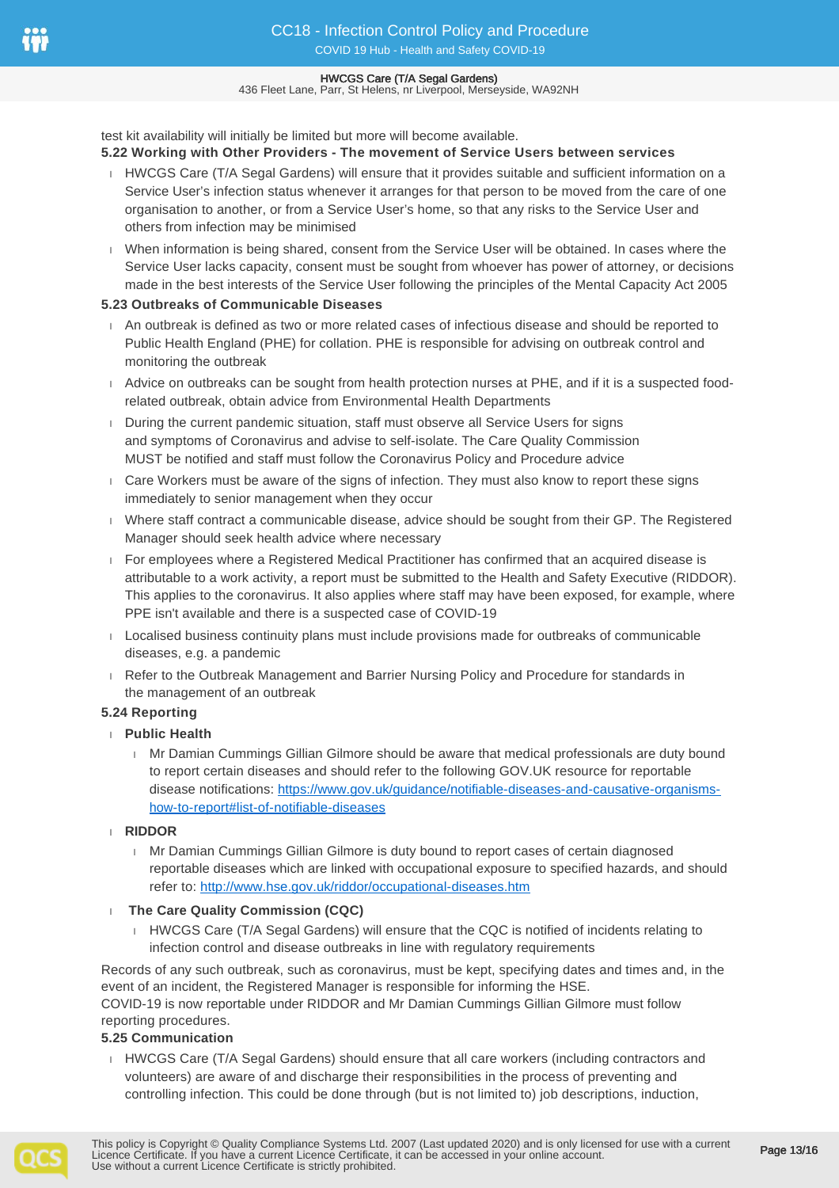436 Fleet Lane, Parr, St Helens, nr Liverpool, Merseyside, WA92NH

test kit availability will initially be limited but more will become available.

## **5.22 Working with Other Providers - The movement of Service Users between services**

- HWCGS Care (T/A Segal Gardens) will ensure that it provides suitable and sufficient information on a Service User's infection status whenever it arranges for that person to be moved from the care of one organisation to another, or from a Service User's home, so that any risks to the Service User and others from infection may be minimised
- When information is being shared, consent from the Service User will be obtained. In cases where the Service User lacks capacity, consent must be sought from whoever has power of attorney, or decisions made in the best interests of the Service User following the principles of the Mental Capacity Act 2005

## **5.23 Outbreaks of Communicable Diseases**

- An outbreak is defined as two or more related cases of infectious disease and should be reported to Public Health England (PHE) for collation. PHE is responsible for advising on outbreak control and monitoring the outbreak
- Advice on outbreaks can be sought from health protection nurses at PHE, and if it is a suspected foodrelated outbreak, obtain advice from Environmental Health Departments
- During the current pandemic situation, staff must observe all Service Users for signs and symptoms of Coronavirus and advise to self-isolate. The Care Quality Commission MUST be notified and staff must follow the Coronavirus Policy and Procedure advice
- Care Workers must be aware of the signs of infection. They must also know to report these signs immediately to senior management when they occur
- Where staff contract a communicable disease, advice should be sought from their GP. The Registered Manager should seek health advice where necessary
- For employees where a Registered Medical Practitioner has confirmed that an acquired disease is attributable to a work activity, a report must be submitted to the Health and Safety Executive (RIDDOR). This applies to the coronavirus. It also applies where staff may have been exposed, for example, where PPE isn't available and there is a suspected case of COVID-19
- Localised business continuity plans must include provisions made for outbreaks of communicable diseases, e.g. a pandemic
- Refer to the Outbreak Management and Barrier Nursing Policy and Procedure for standards in the management of an outbreak

## **5.24 Reporting**

- **Public Health**
	- Mr Damian Cummings Gillian Gilmore should be aware that medical professionals are duty bound to report certain diseases and should refer to the following GOV.UK resource for reportable disease notifications: [https://www.gov.uk/guidance/notifiable-diseases-and-causative-organisms](https://www.gov.uk/guidance/notifiable-diseases-and-causative-organisms-how-to-report#list-of-notifiable-diseases)[how-to-report#list-of-notifiable-diseases](https://www.gov.uk/guidance/notifiable-diseases-and-causative-organisms-how-to-report#list-of-notifiable-diseases)
- **RIDDOR**
	- Mr Damian Cummings Gillian Gilmore is duty bound to report cases of certain diagnosed reportable diseases which are linked with occupational exposure to specified hazards, and should refer to:<http://www.hse.gov.uk/riddor/occupational-diseases.htm>
- **The Care Quality Commission (CQC)**
	- HWCGS Care (T/A Segal Gardens) will ensure that the CQC is notified of incidents relating to infection control and disease outbreaks in line with regulatory requirements

Records of any such outbreak, such as coronavirus, must be kept, specifying dates and times and, in the event of an incident, the Registered Manager is responsible for informing the HSE. COVID-19 is now reportable under RIDDOR and Mr Damian Cummings Gillian Gilmore must follow reporting procedures.

## **5.25 Communication**

HWCGS Care (T/A Segal Gardens) should ensure that all care workers (including contractors and volunteers) are aware of and discharge their responsibilities in the process of preventing and controlling infection. This could be done through (but is not limited to) job descriptions, induction,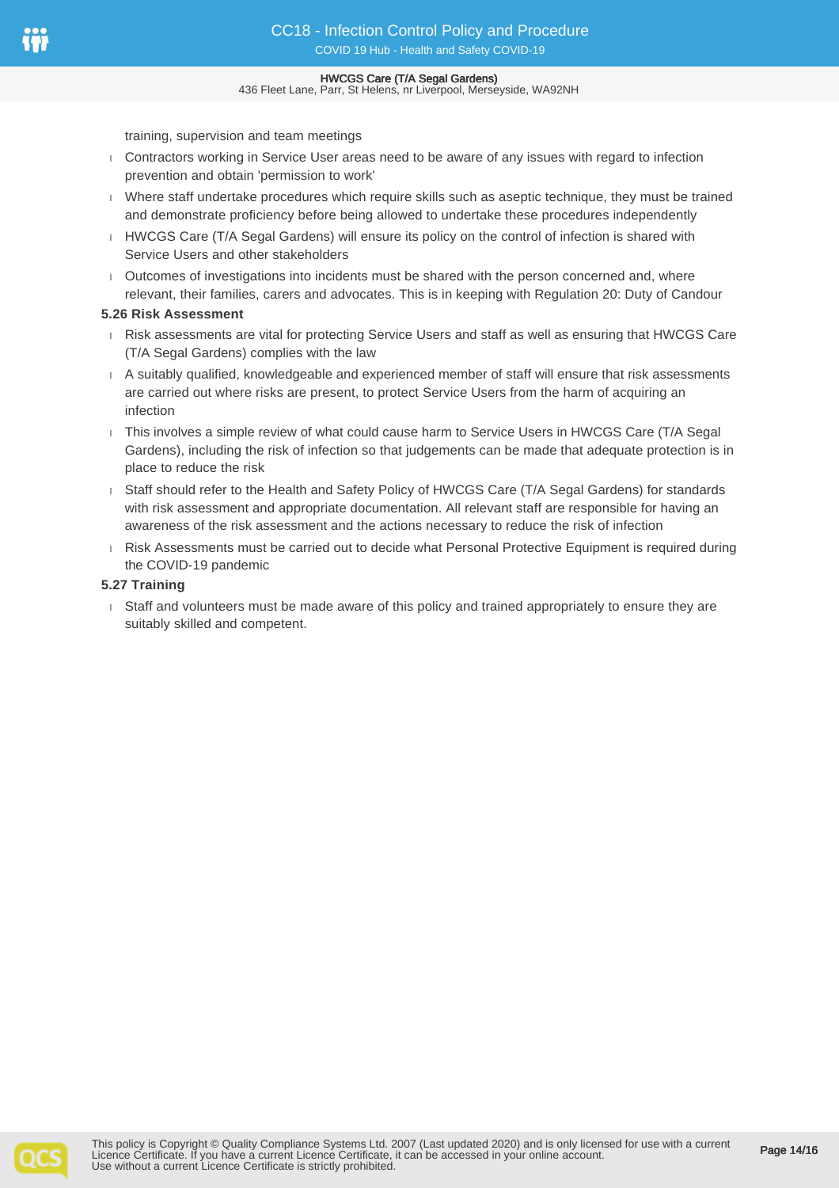436 Fleet Lane, Parr, St Helens, nr Liverpool, Merseyside, WA92NH

training, supervision and team meetings

- Contractors working in Service User areas need to be aware of any issues with regard to infection prevention and obtain 'permission to work'
- Where staff undertake procedures which require skills such as aseptic technique, they must be trained and demonstrate proficiency before being allowed to undertake these procedures independently
- HWCGS Care (T/A Segal Gardens) will ensure its policy on the control of infection is shared with Service Users and other stakeholders
- Outcomes of investigations into incidents must be shared with the person concerned and, where relevant, their families, carers and advocates. This is in keeping with Regulation 20: Duty of Candour

#### **5.26 Risk Assessment**

- Risk assessments are vital for protecting Service Users and staff as well as ensuring that HWCGS Care (T/A Segal Gardens) complies with the law
- A suitably qualified, knowledgeable and experienced member of staff will ensure that risk assessments are carried out where risks are present, to protect Service Users from the harm of acquiring an infection
- This involves a simple review of what could cause harm to Service Users in HWCGS Care (T/A Segal Gardens), including the risk of infection so that judgements can be made that adequate protection is in place to reduce the risk
- Staff should refer to the Health and Safety Policy of HWCGS Care (T/A Segal Gardens) for standards with risk assessment and appropriate documentation. All relevant staff are responsible for having an awareness of the risk assessment and the actions necessary to reduce the risk of infection
- Risk Assessments must be carried out to decide what Personal Protective Equipment is required during the COVID-19 pandemic

#### **5.27 Training**

 Staff and volunteers must be made aware of this policy and trained appropriately to ensure they are suitably skilled and competent.

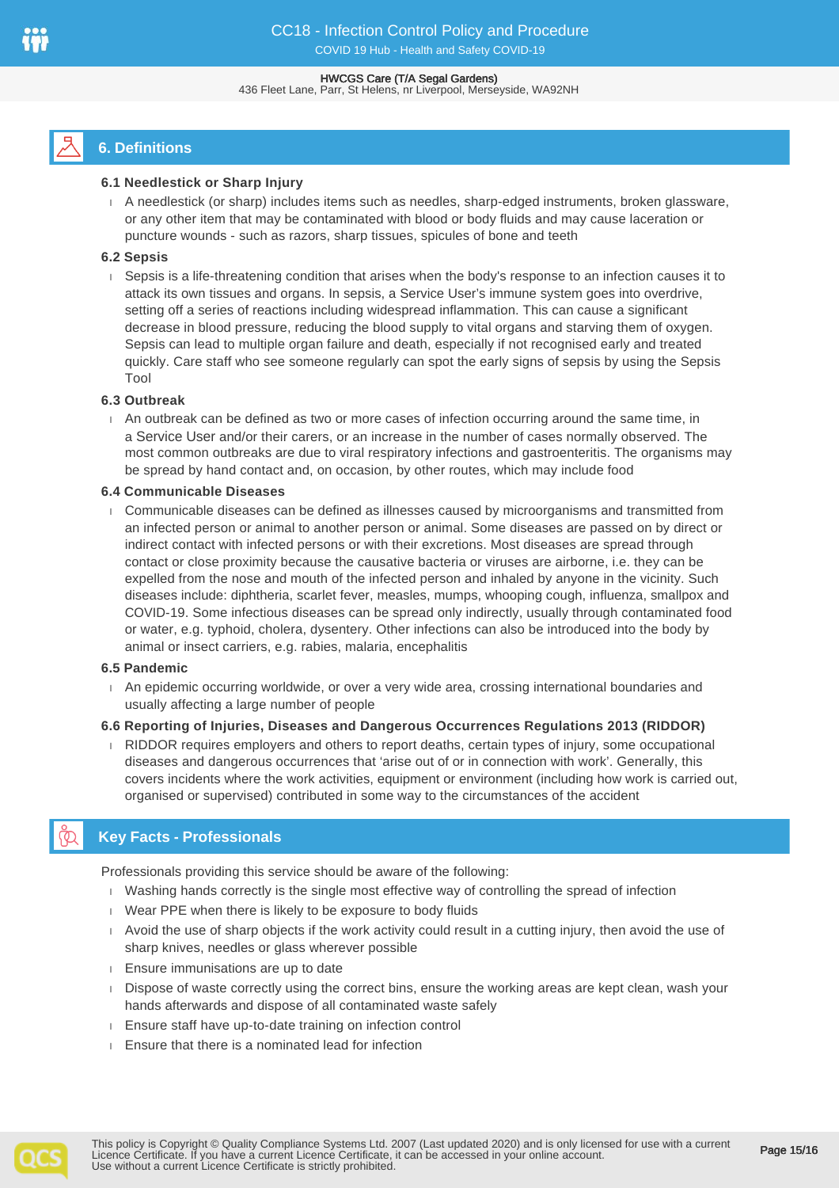#### HWCGS Care (T/A Segal Gardens) 436 Fleet Lane, Parr, St Helens, nr Liverpool, Merseyside, WA92NH

# **6. Definitions**

## **6.1 Needlestick or Sharp Injury**

 A needlestick (or sharp) includes items such as needles, sharp-edged instruments, broken glassware, or any other item that may be contaminated with blood or body fluids and may cause laceration or puncture wounds - such as razors, sharp tissues, spicules of bone and teeth

## **6.2 Sepsis**

 Sepsis is a life-threatening condition that arises when the body's response to an infection causes it to attack its own tissues and organs. In sepsis, a Service User's immune system goes into overdrive, setting off a series of reactions including widespread inflammation. This can cause a significant decrease in blood pressure, reducing the blood supply to vital organs and starving them of oxygen. Sepsis can lead to multiple organ failure and death, especially if not recognised early and treated quickly. Care staff who see someone regularly can spot the early signs of sepsis by using the Sepsis Tool

## **6.3 Outbreak**

 An outbreak can be defined as two or more cases of infection occurring around the same time, in a Service User and/or their carers, or an increase in the number of cases normally observed. The most common outbreaks are due to viral respiratory infections and gastroenteritis. The organisms may be spread by hand contact and, on occasion, by other routes, which may include food

## **6.4 Communicable Diseases**

 Communicable diseases can be defined as illnesses caused by microorganisms and transmitted from an infected person or animal to another person or animal. Some diseases are passed on by direct or indirect contact with infected persons or with their excretions. Most diseases are spread through contact or close proximity because the causative bacteria or viruses are airborne, i.e. they can be expelled from the nose and mouth of the infected person and inhaled by anyone in the vicinity. Such diseases include: diphtheria, scarlet fever, measles, mumps, whooping cough, influenza, smallpox and COVID-19. Some infectious diseases can be spread only indirectly, usually through contaminated food or water, e.g. typhoid, cholera, dysentery. Other infections can also be introduced into the body by animal or insect carriers, e.g. rabies, malaria, encephalitis

## **6.5 Pandemic**

 An epidemic occurring worldwide, or over a very wide area, crossing international boundaries and usually affecting a large number of people

## **6.6 Reporting of Injuries, Diseases and Dangerous Occurrences Regulations 2013 (RIDDOR)**

RIDDOR requires employers and others to report deaths, certain types of injury, some occupational diseases and dangerous occurrences that 'arise out of or in connection with work'. Generally, this covers incidents where the work activities, equipment or environment (including how work is carried out, organised or supervised) contributed in some way to the circumstances of the accident

# **Key Facts - Professionals**

Professionals providing this service should be aware of the following:

- Washing hands correctly is the single most effective way of controlling the spread of infection
- Wear PPE when there is likely to be exposure to body fluids
- Avoid the use of sharp objects if the work activity could result in a cutting injury, then avoid the use of sharp knives, needles or glass wherever possible
- **Ensure immunisations are up to date**
- Dispose of waste correctly using the correct bins, ensure the working areas are kept clean, wash your hands afterwards and dispose of all contaminated waste safely
- Ensure staff have up-to-date training on infection control
- Ensure that there is a nominated lead for infection